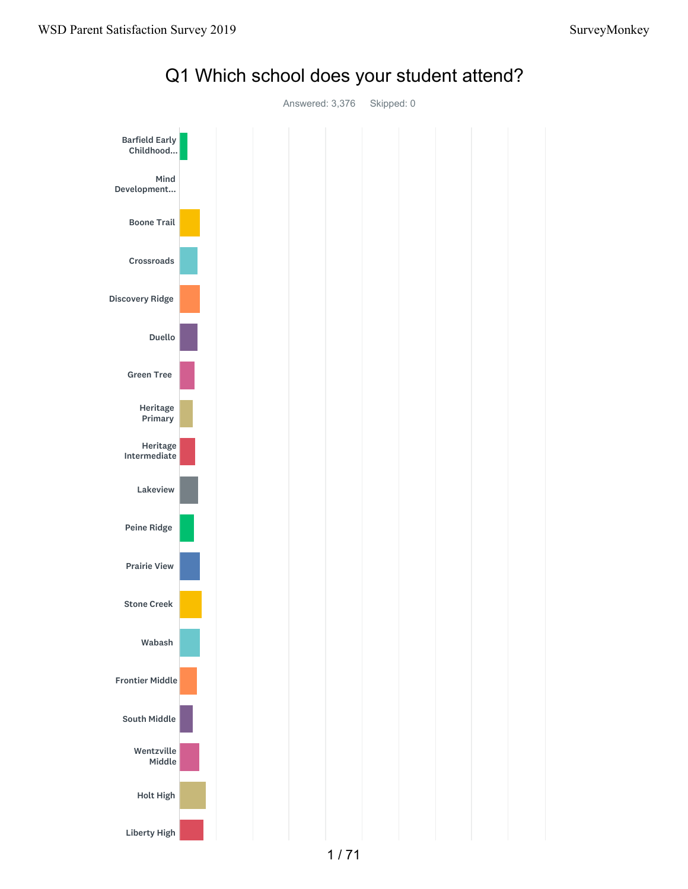

## Q1 Which school does your student attend?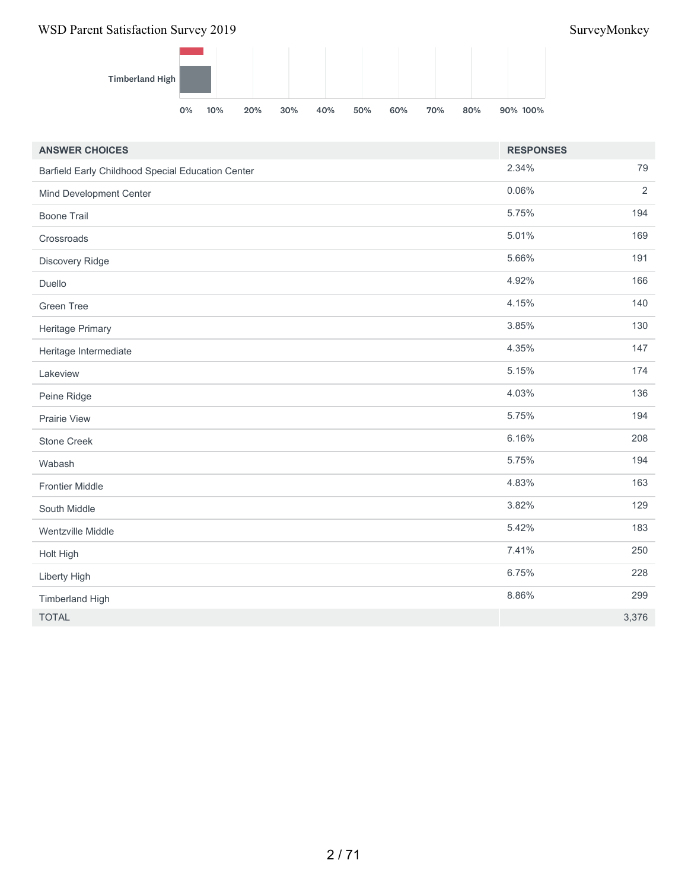

| <b>ANSWER CHOICES</b>                             | <b>RESPONSES</b> |                |
|---------------------------------------------------|------------------|----------------|
| Barfield Early Childhood Special Education Center | 2.34%            | 79             |
| Mind Development Center                           | 0.06%            | $\overline{2}$ |
| <b>Boone Trail</b>                                | 5.75%            | 194            |
| Crossroads                                        | 5.01%            | 169            |
| Discovery Ridge                                   | 5.66%            | 191            |
| Duello                                            | 4.92%            | 166            |
| <b>Green Tree</b>                                 | 4.15%            | 140            |
| Heritage Primary                                  | 3.85%            | 130            |
| Heritage Intermediate                             | 4.35%            | 147            |
| Lakeview                                          | 5.15%            | 174            |
| Peine Ridge                                       | 4.03%            | 136            |
| Prairie View                                      | 5.75%            | 194            |
| Stone Creek                                       | 6.16%            | 208            |
| Wabash                                            | 5.75%            | 194            |
| <b>Frontier Middle</b>                            | 4.83%            | 163            |
| South Middle                                      | 3.82%            | 129            |
| Wentzville Middle                                 | 5.42%            | 183            |
| Holt High                                         | 7.41%            | 250            |
| Liberty High                                      | 6.75%            | 228            |
| <b>Timberland High</b>                            | 8.86%            | 299            |
| <b>TOTAL</b>                                      |                  | 3,376          |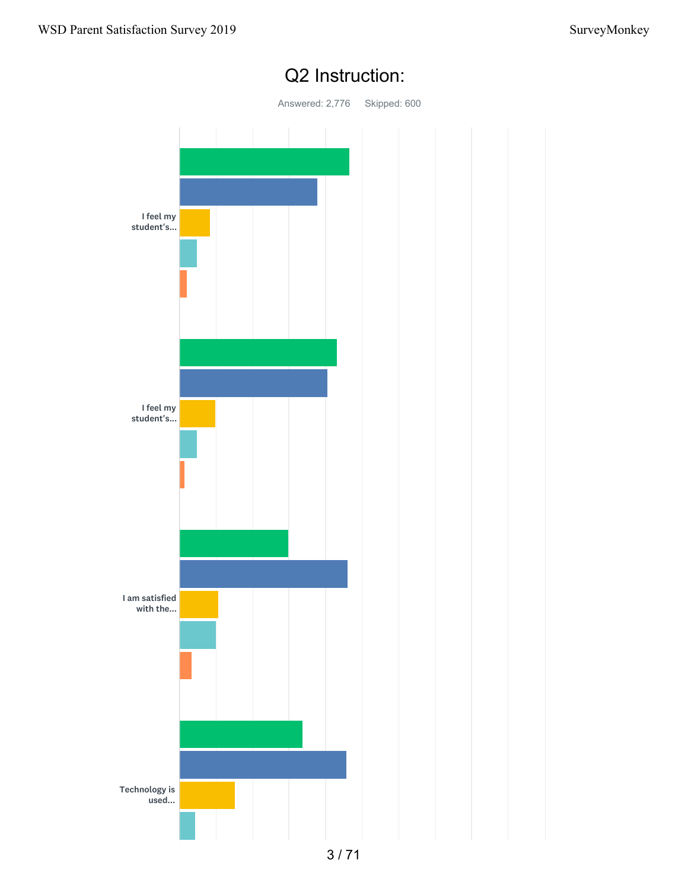

## Q2 Instruction: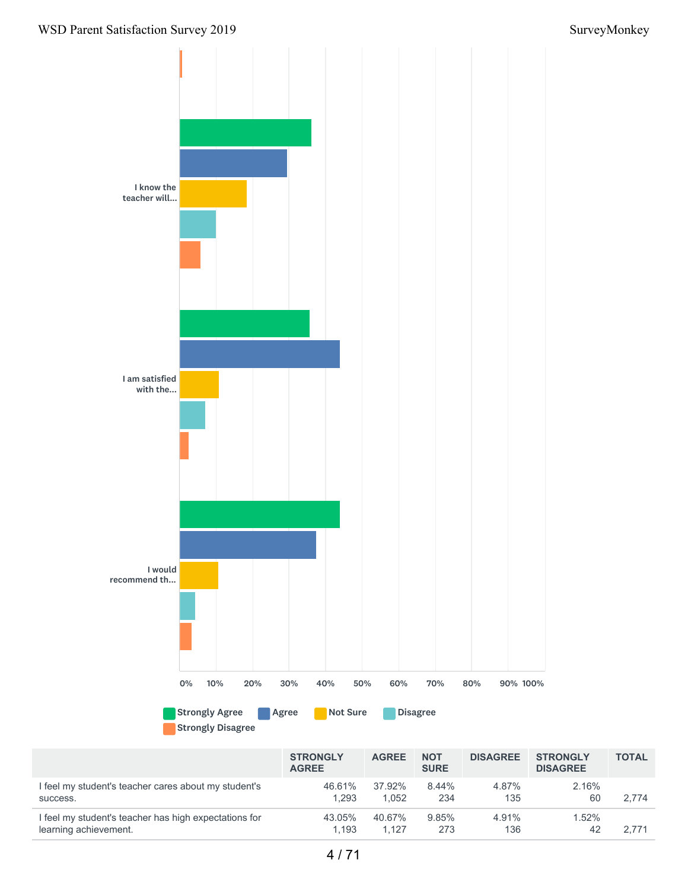

Strongly Disagree

|                                                       | <b>STRONGLY</b><br><b>AGREE</b> | <b>AGREE</b> | <b>NOT</b><br><b>SURE</b> | <b>DISAGREE</b> | <b>STRONGLY</b><br><b>DISAGREE</b> | <b>TOTAL</b> |
|-------------------------------------------------------|---------------------------------|--------------|---------------------------|-----------------|------------------------------------|--------------|
| I feel my student's teacher cares about my student's  | 46.61%                          | 37.92%       | $8.44\%$                  | 4.87%           | 2.16%                              | 2.774        |
| success.                                              | 1.293                           | 1.052        | 234                       | 135             | 60                                 |              |
| I feel my student's teacher has high expectations for | 43.05%                          | 40.67%       | 9.85%                     | 4.91%           | $1.52\%$                           | 2.771        |
| learning achievement.                                 | 1.193                           | 1.127        | 273                       | 136             | 42                                 |              |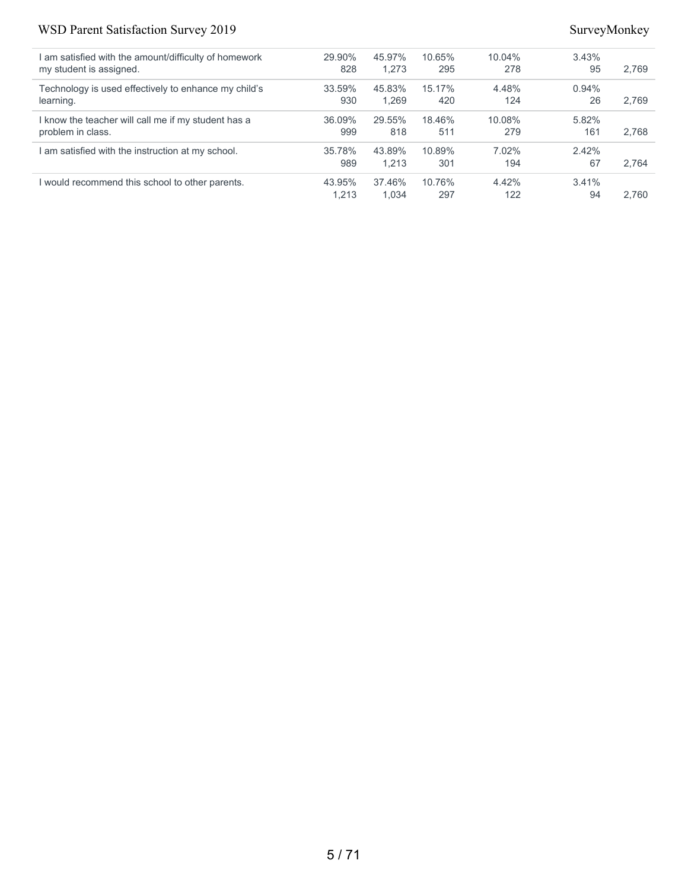| am satisfied with the amount/difficulty of homework  | 29.90% | 45.97% | 10.65% | $10.04\%$ | 3.43% |       |
|------------------------------------------------------|--------|--------|--------|-----------|-------|-------|
| my student is assigned.                              | 828    | 1.273  | 295    | 278       | 95    | 2.769 |
| Technology is used effectively to enhance my child's | 33.59% | 45.83% | 15.17% | 4.48%     | 0.94% |       |
| learning.                                            | 930    | 1.269  | 420    | 124       | 26    | 2.769 |
| know the teacher will call me if my student has a    | 36.09% | 29.55% | 18.46% | 10.08%    | 5.82% |       |
| problem in class.                                    | 999    | 818    | 511    | 279       | 161   | 2.768 |
| am satisfied with the instruction at my school.      | 35.78% | 43.89% | 10.89% | 7.02%     | 2.42% |       |
|                                                      | 989    | 1.213  | 301    | 194       | 67    | 2.764 |
| would recommend this school to other parents.        | 43.95% | 37.46% | 10.76% | 4.42%     | 3.41% |       |
|                                                      | 1.213  | 1.034  | 297    | 122       | 94    | 2.760 |
|                                                      |        |        |        |           |       |       |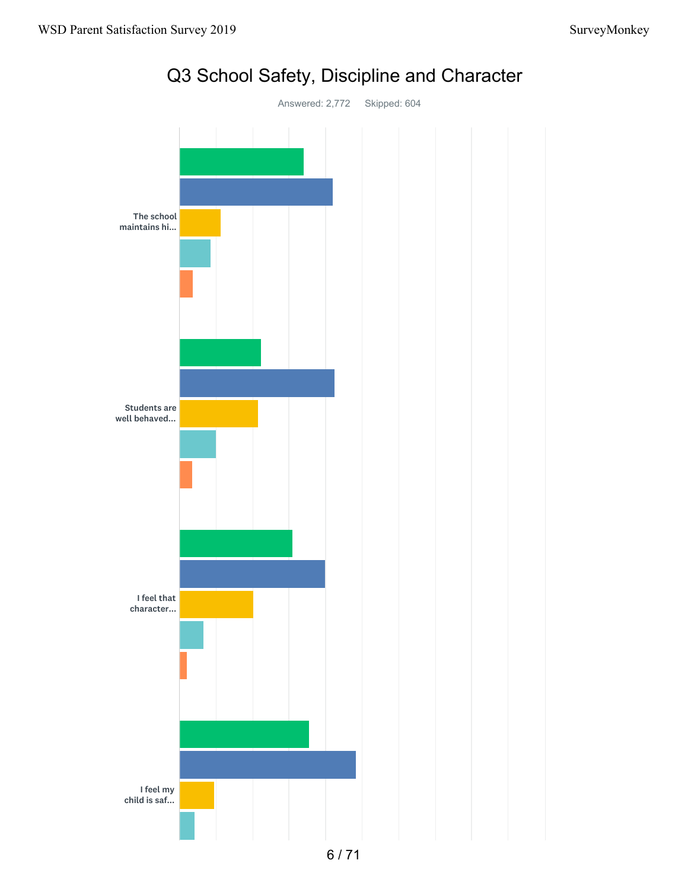

# Q3 School Safety, Discipline and Character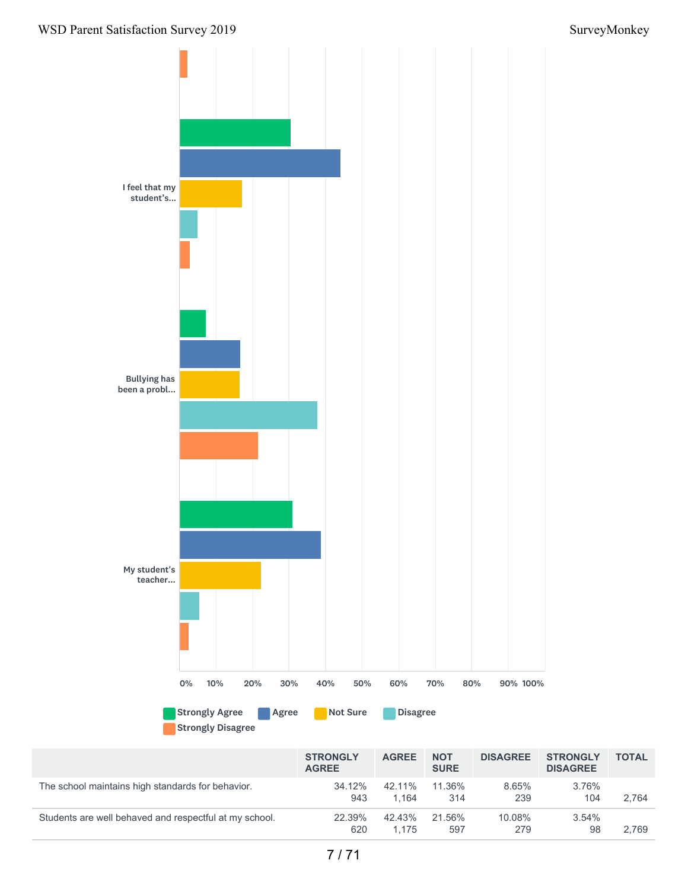

|                                                        | <b>STRONGLY</b><br><b>AGREE</b> | <b>AGREE</b>    | <b>NOT</b><br><b>SURE</b> | <b>DISAGREE</b> | <b>STRONGLY</b><br><b>DISAGREE</b> | <b>TOTAL</b> |
|--------------------------------------------------------|---------------------------------|-----------------|---------------------------|-----------------|------------------------------------|--------------|
| The school maintains high standards for behavior.      | 34.12%<br>943                   | 42.11%<br>1.164 | 11.36%<br>314             | 8.65%<br>239    | 3.76%<br>104                       | 2.764        |
| Students are well behaved and respectful at my school. | 22.39%<br>620                   | 42.43%<br>1.175 | 21.56%<br>597             | 10.08%<br>279   | $3.54\%$<br>98                     | 2.769        |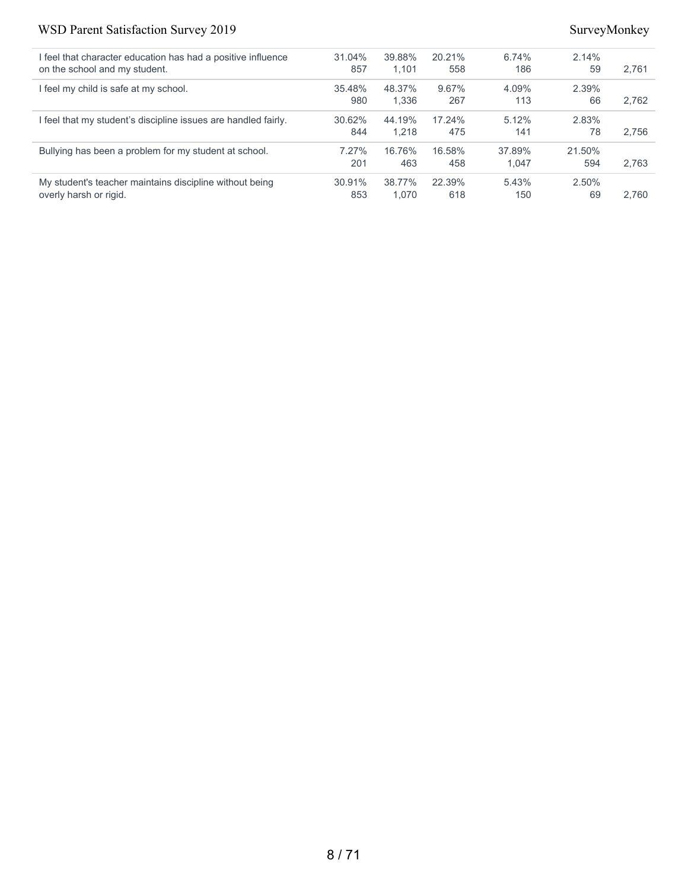| I feel that character education has had a positive influence | 31.04% | 39.88% | 20.21% | 6.74%  | 2.14%  |       |
|--------------------------------------------------------------|--------|--------|--------|--------|--------|-------|
| on the school and my student.                                | 857    | 1.101  | 558    | 186    | 59     | 2.761 |
| feel my child is safe at my school.                          | 35.48% | 48.37% | 9.67%  | 4.09%  | 2.39%  |       |
|                                                              | 980    | 1.336  | 267    | 113    | 66     | 2.762 |
| feel that my student's discipline issues are handled fairly. | 30.62% | 44.19% | 17.24% | 5.12%  | 2.83%  |       |
|                                                              | 844    | 1.218  | 475    | 141    | 78     | 2.756 |
| Bullying has been a problem for my student at school.        | 7.27%  | 16.76% | 16.58% | 37.89% | 21.50% |       |
|                                                              | 201    | 463    | 458    | 1.047  | 594    | 2.763 |
| My student's teacher maintains discipline without being      | 30.91% | 38.77% | 22.39% | 5.43%  | 2.50%  |       |
| overly harsh or rigid.                                       | 853    | 1.070  | 618    | 150    | 69     | 2.760 |
|                                                              |        |        |        |        |        |       |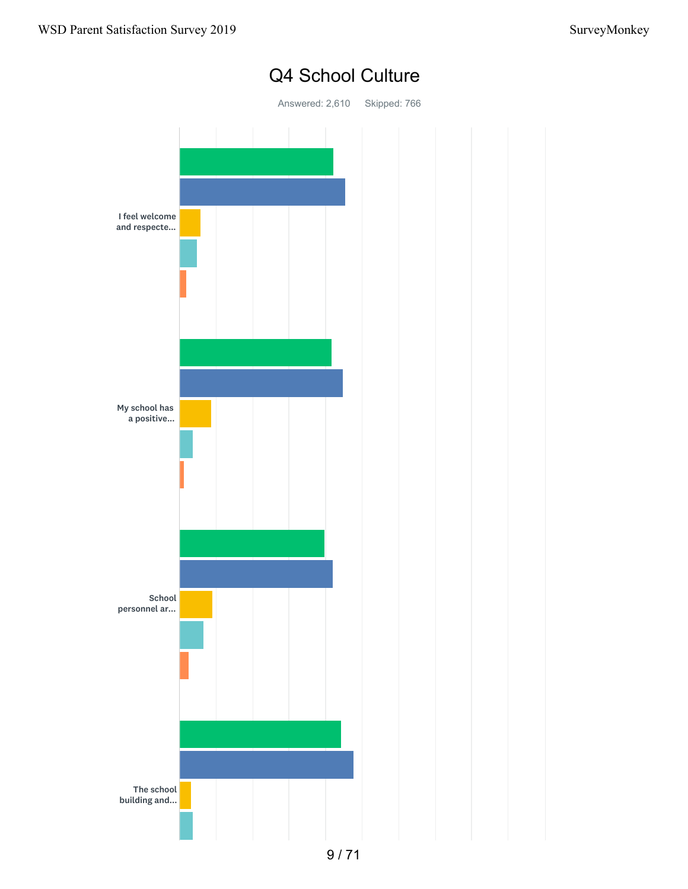

## Q4 School Culture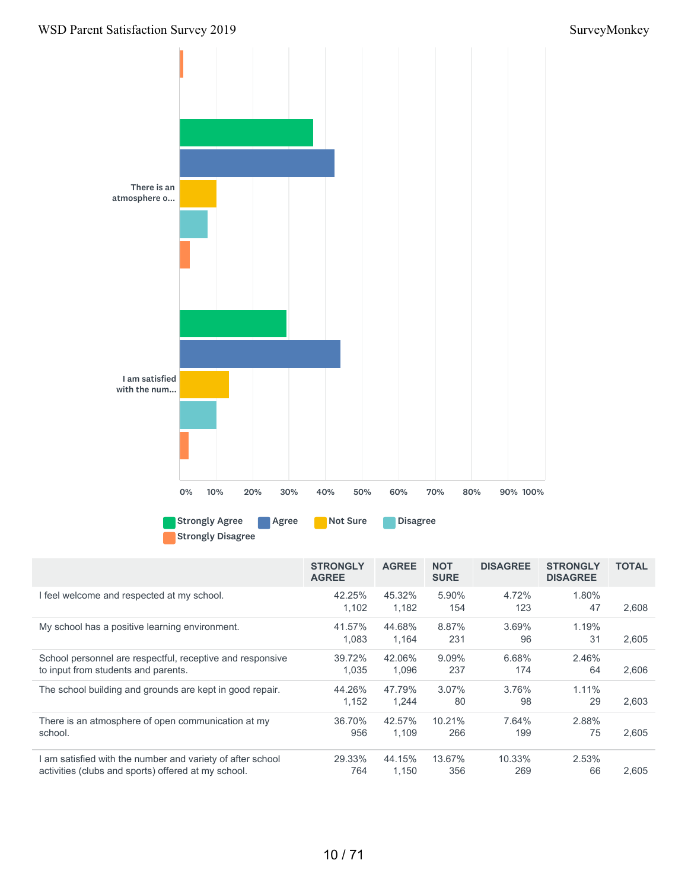

|                                                           | <b>STRONGLY</b><br><b>AGREE</b> | <b>AGREE</b> | <b>NOT</b><br><b>SURE</b> | <b>DISAGREE</b> | <b>STRONGLY</b><br><b>DISAGREE</b> | <b>TOTAL</b> |
|-----------------------------------------------------------|---------------------------------|--------------|---------------------------|-----------------|------------------------------------|--------------|
| I feel welcome and respected at my school.                | 42.25%                          | 45.32%       | 5.90%                     | 4.72%           | 1.80%                              |              |
|                                                           | 1.102                           | 1,182        | 154                       | 123             | 47                                 | 2,608        |
| My school has a positive learning environment.            | 41.57%                          | 44.68%       | 8.87%                     | 3.69%           | 1.19%                              |              |
|                                                           | 1.083                           | 1,164        | 231                       | 96              | 31                                 | 2,605        |
| School personnel are respectful, receptive and responsive | 39.72%                          | 42.06%       | 9.09%                     | 6.68%           | 2.46%                              |              |
| to input from students and parents.                       | 1.035                           | 1,096        | 237                       | 174             | 64                                 | 2,606        |
| The school building and grounds are kept in good repair.  | 44.26%                          | 47.79%       | $3.07\%$                  | 3.76%           | $1.11\%$                           |              |
|                                                           | 1.152                           | 1,244        | 80                        | 98              | 29                                 | 2,603        |
| There is an atmosphere of open communication at my        | 36.70%                          | 42.57%       | 10.21%                    | 7.64%           | 2.88%                              |              |
| school.                                                   | 956                             | 1.109        | 266                       | 199             | 75                                 | 2,605        |
| am satisfied with the number and variety of after school  | 29.33%                          | 44.15%       | 13.67%                    | 10.33%          | 2.53%                              |              |
| activities (clubs and sports) offered at my school.       | 764                             | 1.150        | 356                       | 269             | 66                                 | 2.605        |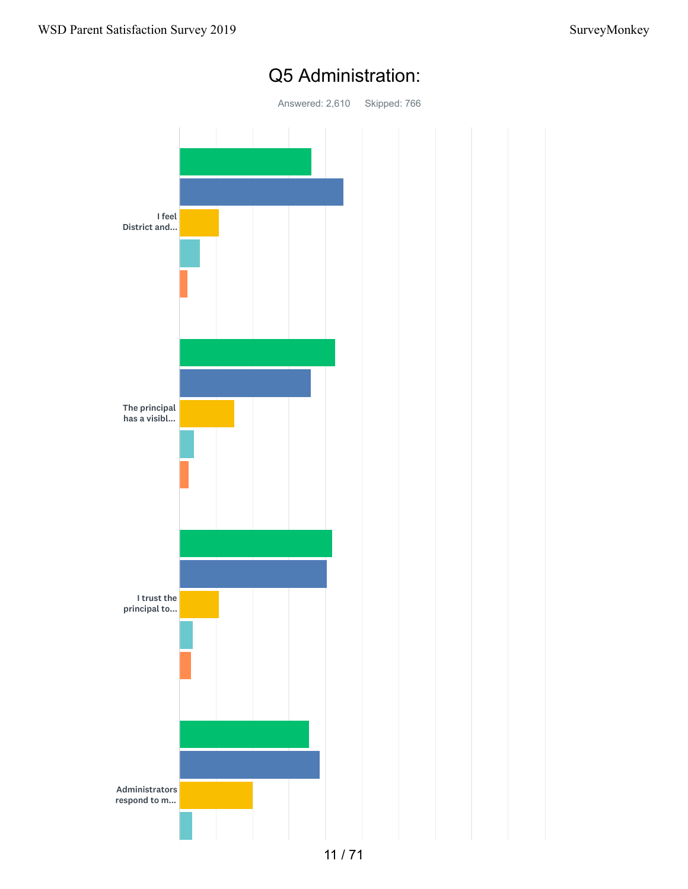

## Q5 Administration: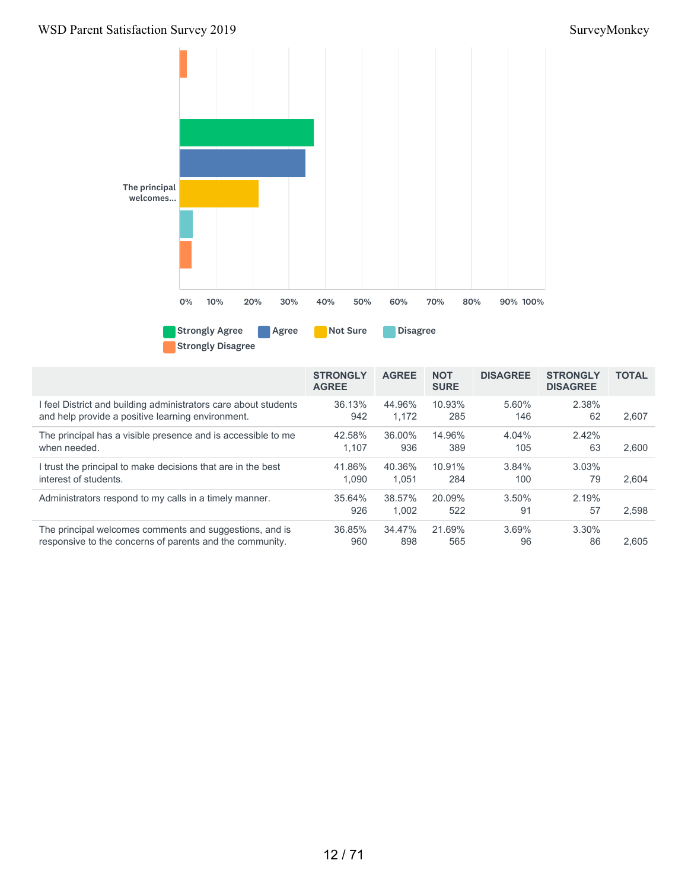

|                                                               | <b>STRONGLY</b><br><b>AGREE</b> | <b>AGREE</b>    | <b>NOT</b><br><b>SURE</b> | <b>DISAGREE</b> | <b>STRONGLY</b><br><b>DISAGREE</b> | <b>TOTAL</b> |
|---------------------------------------------------------------|---------------------------------|-----------------|---------------------------|-----------------|------------------------------------|--------------|
| feel District and building administrators care about students | 36.13%                          | 44.96%          | 10.93%                    | 5.60%           | 2.38%                              | 2.607        |
| and help provide a positive learning environment.             | 942                             | 1.172           | 285                       | 146             | 62                                 |              |
| The principal has a visible presence and is accessible to me  | 42.58%                          | 36.00%          | 14.96%                    | 4.04%           | 2.42%                              | 2.600        |
| when needed.                                                  | 1.107                           | 936             | 389                       | 105             | 63                                 |              |
| I trust the principal to make decisions that are in the best  | 41.86%                          | 40.36%          | 10.91%                    | 3.84%           | 3.03%                              | 2.604        |
| interest of students.                                         | 1.090                           | 1.051           | 284                       | 100             | 79                                 |              |
| Administrators respond to my calls in a timely manner.        | 35.64%<br>926                   | 38.57%<br>1.002 | 20.09%<br>522             | $3.50\%$<br>91  | 2.19%<br>57                        | 2,598        |
| The principal welcomes comments and suggestions, and is       | 36.85%                          | 34.47%          | 21.69%                    | 3.69%           | 3.30%                              | 2.605        |
| responsive to the concerns of parents and the community.      | 960                             | 898             | 565                       | 96              | 86                                 |              |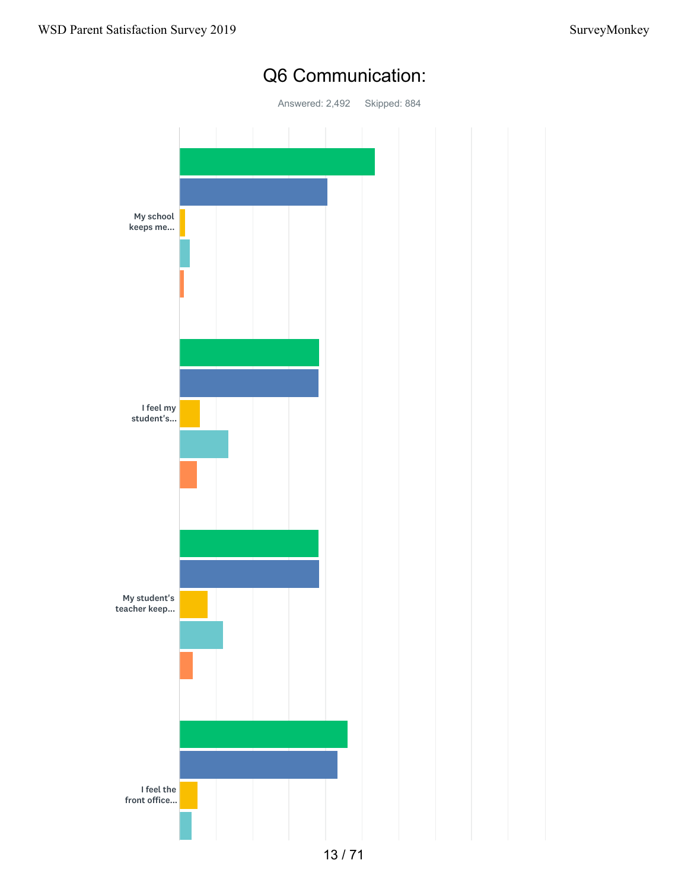

## Q6 Communication: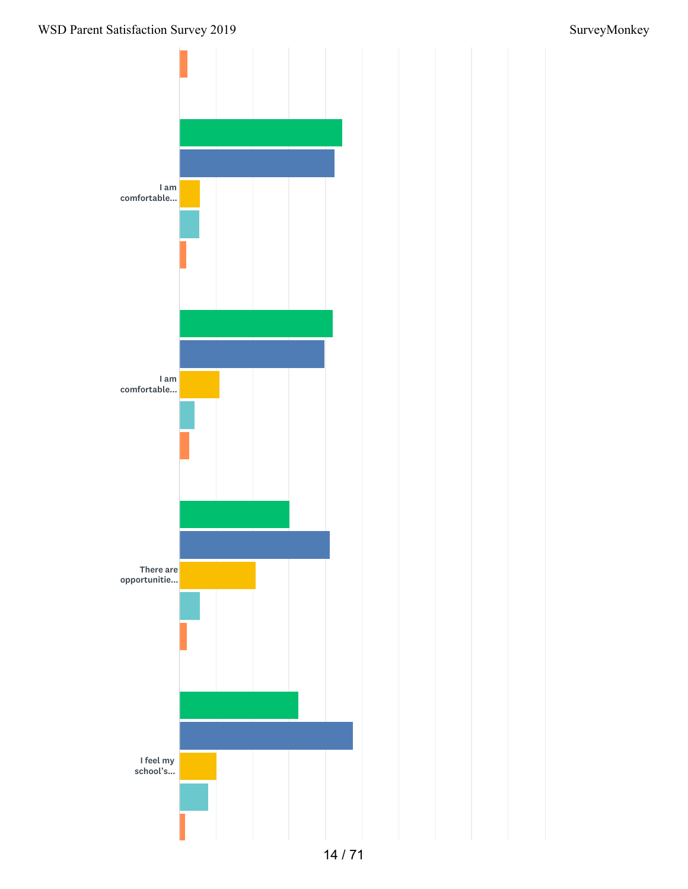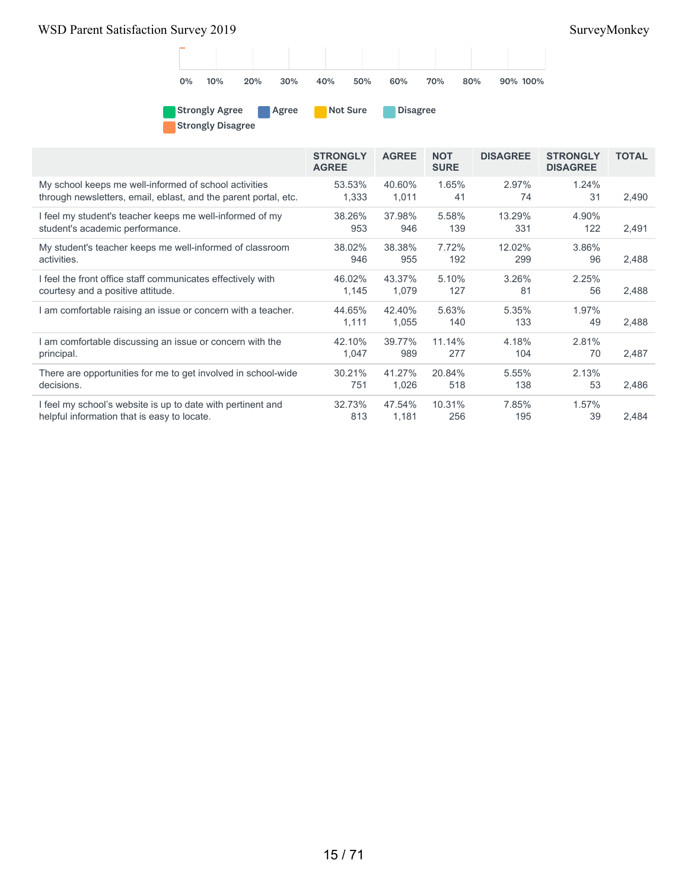

Strongly Agree Agree Not Sure Disagree Strongly Disagree

|                                                                 | <b>STRONGLY</b><br><b>AGREE</b> | <b>AGREE</b>    | <b>NOT</b><br><b>SURE</b> | <b>DISAGREE</b> | <b>STRONGLY</b><br><b>DISAGREE</b> | <b>TOTAL</b> |
|-----------------------------------------------------------------|---------------------------------|-----------------|---------------------------|-----------------|------------------------------------|--------------|
| My school keeps me well-informed of school activities           | 53.53%                          | 40.60%          | 1.65%                     | 2.97%           | 1.24%                              | 2,490        |
| through newsletters, email, eblast, and the parent portal, etc. | 1,333                           | 1,011           | 41                        | 74              | 31                                 |              |
| I feel my student's teacher keeps me well-informed of my        | 38.26%                          | 37.98%          | 5.58%                     | 13.29%          | 4.90%                              | 2,491        |
| student's academic performance.                                 | 953                             | 946             | 139                       | 331             | 122                                |              |
| My student's teacher keeps me well-informed of classroom        | 38.02%                          | 38.38%          | 7.72%                     | 12.02%          | 3.86%                              | 2,488        |
| activities.                                                     | 946                             | 955             | 192                       | 299             | 96                                 |              |
| I feel the front office staff communicates effectively with     | 46.02%                          | 43.37%          | 5.10%                     | 3.26%           | 2.25%                              | 2,488        |
| courtesy and a positive attitude.                               | 1,145                           | 1,079           | 127                       | 81              | 56                                 |              |
| am comfortable raising an issue or concern with a teacher.      | 44.65%<br>1,111                 | 42.40%<br>1,055 | 5.63%<br>140              | 5.35%<br>133    | 1.97%<br>49                        | 2,488        |
| am comfortable discussing an issue or concern with the          | 42.10%                          | 39.77%          | 11.14%                    | 4.18%           | 2.81%                              | 2,487        |
| principal.                                                      | 1,047                           | 989             | 277                       | 104             | 70                                 |              |
| There are opportunities for me to get involved in school-wide   | 30.21%                          | 41.27%          | 20.84%                    | 5.55%           | 2.13%                              | 2,486        |
| decisions.                                                      | 751                             | 1,026           | 518                       | 138             | 53                                 |              |
| I feel my school's website is up to date with pertinent and     | 32.73%                          | 47.54%          | 10.31%                    | 7.85%           | 1.57%                              | 2,484        |
| helpful information that is easy to locate.                     | 813                             | 1,181           | 256                       | 195             | 39                                 |              |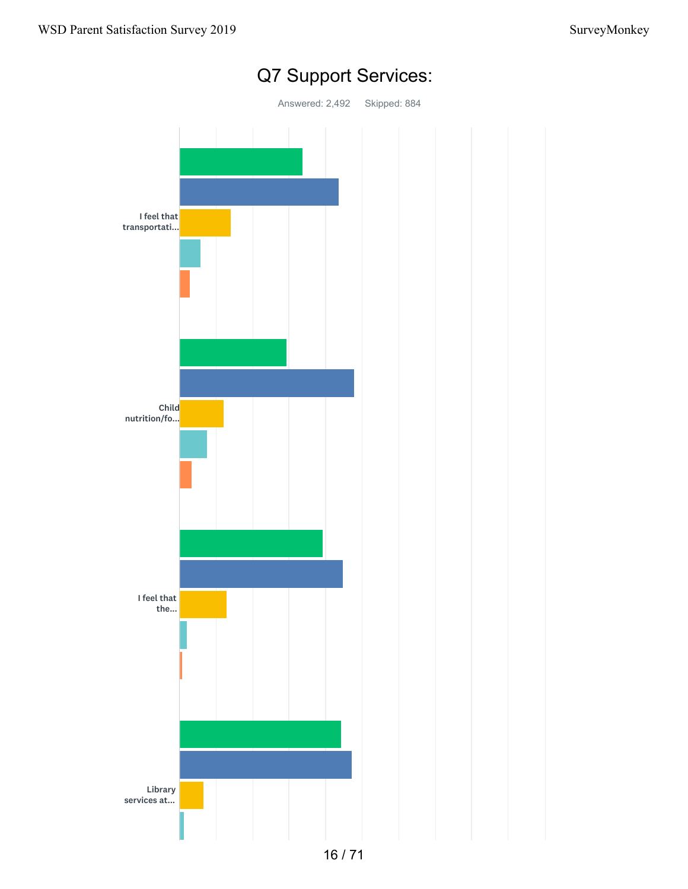

# Q7 Support Services: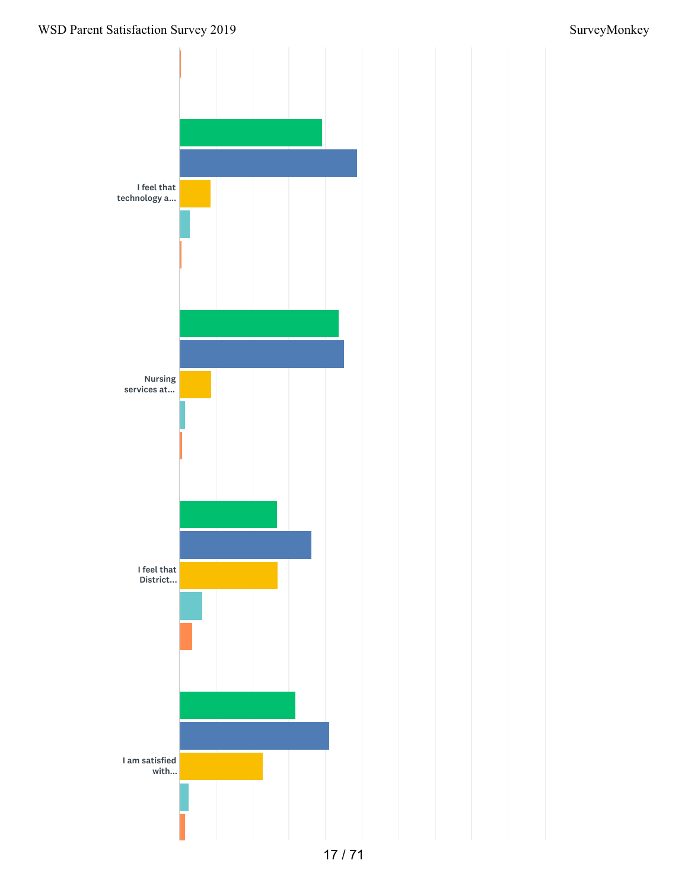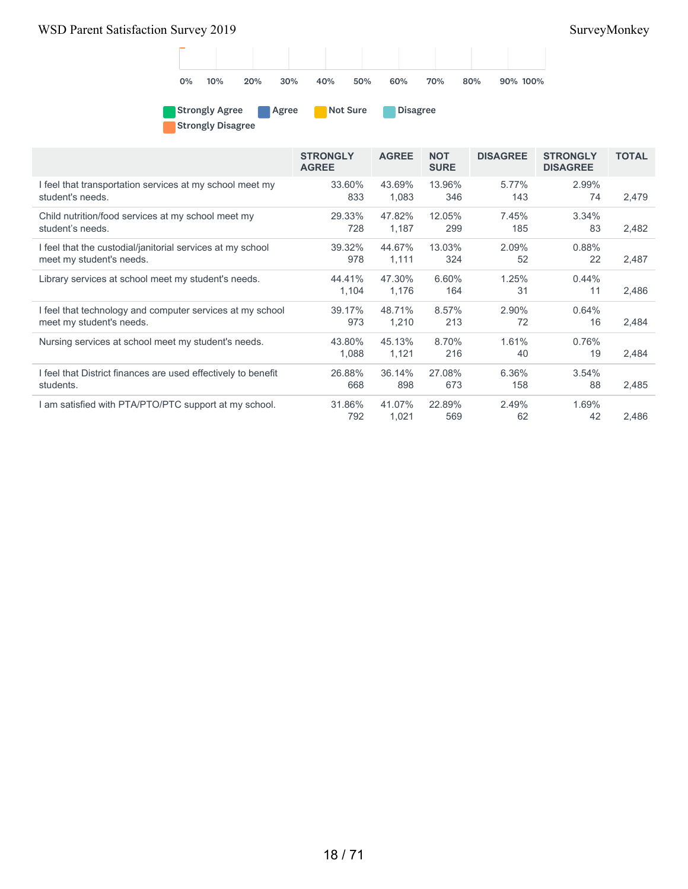

Strongly Agree Agree Not Sure Disagree Strongly Disagree

|                                                               | <b>STRONGLY</b><br><b>AGREE</b> | <b>AGREE</b> | <b>NOT</b><br><b>SURE</b> | <b>DISAGREE</b> | <b>STRONGLY</b><br><b>DISAGREE</b> | <b>TOTAL</b> |
|---------------------------------------------------------------|---------------------------------|--------------|---------------------------|-----------------|------------------------------------|--------------|
| I feel that transportation services at my school meet my      | 33.60%                          | 43.69%       | 13.96%                    | 5.77%           | 2.99%                              |              |
| student's needs.                                              | 833                             | 1,083        | 346                       | 143             | 74                                 | 2,479        |
| Child nutrition/food services at my school meet my            | 29.33%                          | 47.82%       | 12.05%                    | 7.45%           | 3.34%                              |              |
| student's needs.                                              | 728                             | 1,187        | 299                       | 185             | 83                                 | 2,482        |
| I feel that the custodial/janitorial services at my school    | 39.32%                          | 44.67%       | 13.03%                    | 2.09%           | 0.88%                              |              |
| meet my student's needs.                                      | 978                             | 1,111        | 324                       | 52              | 22                                 | 2,487        |
| Library services at school meet my student's needs.           | 44.41%                          | 47.30%       | 6.60%                     | 1.25%           | 0.44%                              |              |
|                                                               | 1,104                           | 1,176        | 164                       | 31              | 11                                 | 2,486        |
| I feel that technology and computer services at my school     | 39.17%                          | 48.71%       | 8.57%                     | 2.90%           | 0.64%                              |              |
| meet my student's needs.                                      | 973                             | 1,210        | 213                       | 72              | 16                                 | 2,484        |
| Nursing services at school meet my student's needs.           | 43.80%                          | 45.13%       | 8.70%                     | 1.61%           | 0.76%                              |              |
|                                                               | 1,088                           | 1,121        | 216                       | 40              | 19                                 | 2,484        |
| I feel that District finances are used effectively to benefit | 26.88%                          | 36.14%       | 27.08%                    | 6.36%           | 3.54%                              |              |
| students.                                                     | 668                             | 898          | 673                       | 158             | 88                                 | 2,485        |
| am satisfied with PTA/PTO/PTC support at my school.           | 31.86%                          | 41.07%       | 22.89%                    | 2.49%           | 1.69%                              |              |
|                                                               | 792                             | 1,021        | 569                       | 62              | 42                                 | 2,486        |